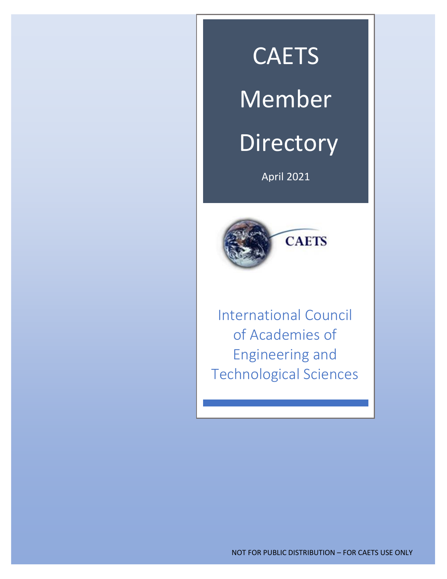# **CAETS**

# Member

# **Directory**

April 2021



International Council of Academies of Engineering and Technological Sciences

l

NOT FOR PUBLIC DISTRIBUTION – FOR CAETS USE ONLY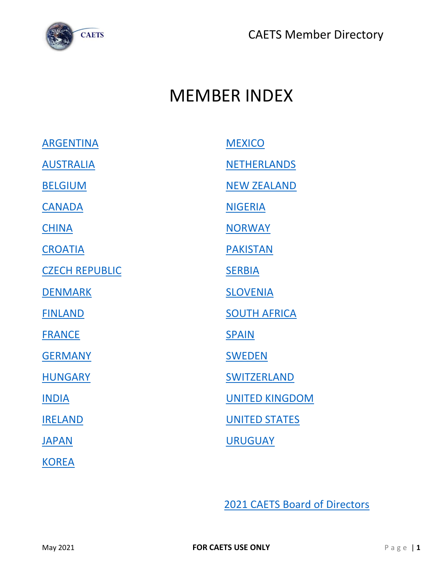

## <span id="page-1-0"></span>MEMBER INDEX

| <b>ARGENTINA</b>      | <b>MEXICO</b>         |
|-----------------------|-----------------------|
| <b>AUSTRALIA</b>      | <b>NETHERLANDS</b>    |
| <b>BELGIUM</b>        | <b>NEW ZEALAND</b>    |
| <b>CANADA</b>         | <b>NIGERIA</b>        |
| <b>CHINA</b>          | <b>NORWAY</b>         |
| <b>CROATIA</b>        | <b>PAKISTAN</b>       |
| <b>CZECH REPUBLIC</b> | <b>SERBIA</b>         |
| <b>DENMARK</b>        | <b>SLOVENIA</b>       |
| <b>FINLAND</b>        | <b>SOUTH AFRICA</b>   |
| <b>FRANCE</b>         | <b>SPAIN</b>          |
| <b>GERMANY</b>        | <b>SWEDEN</b>         |
| <b>HUNGARY</b>        | SWITZERLAND           |
| <b>INDIA</b>          | <b>UNITED KINGDOM</b> |
| <b>IRELAND</b>        | <b>UNITED STATES</b>  |
| <b>JAPAN</b>          | <b>URUGUAY</b>        |
| <b>KOREA</b>          |                       |

[2021 CAETS Board of Directors](#page-33-0)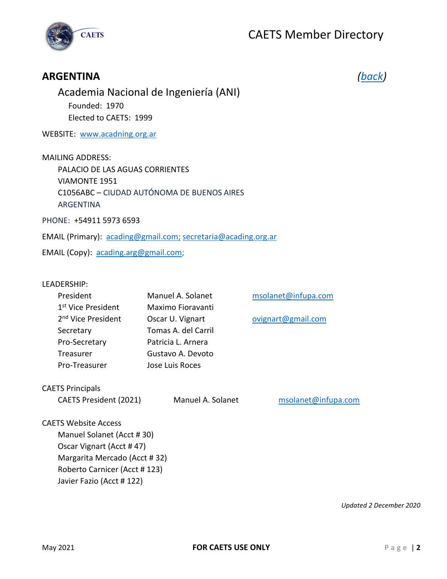



#### <span id="page-2-0"></span>**ARGENTINA** *[\(back\)](#page-1-0)*

Academia Nacional de Ingeniería (ANI) Founded: 1970 Elected to CAETS: 1999

WEBSITE: [www.acadning.org.ar](http://www.acading.org.ar/)

MAILING ADDRESS: PALACIO DE LAS AGUAS CORRIENTES VIAMONTE 1951 C1056ABC – CIUDAD AUTÓNOMA DE BUENOS AIRES ARGENTINA

PHONE: +54911 5973 6593

EMAIL (Primary): [acading@gmail.com;](mailto:acading@gmail.com) [secretaria@acading.org.ar](mailto:secretaria@acading.org.ar)

EMAIL (Copy): [acading.arg@gmail.com;](mailto:acading.arg@gmail.com)

#### LEADERSHIP:

| President                      | Manuel A. Solanet   |
|--------------------------------|---------------------|
| 1 <sup>st</sup> Vice President | Maximo Fioravanti   |
| 2 <sup>nd</sup> Vice President | Oscar U. Vignart    |
| Secretary                      | Tomas A. del Carril |
| Pro-Secretary                  | Patricia L. Arnera  |
| Treasurer                      | Gustavo A. Devoto   |
| Pro-Treasurer                  | Jose Luis Roces     |

CAETS Principals

CAETS President (2021) Manuel A. Solanet [msolanet@infupa.com](mailto:msolanet@infupa.com)

[msolanet@infupa.com](mailto:msolanet@infupa.com)

[ovignart@gmail.com](mailto:ovignart@gmail.com)

CAETS Website Access

Manuel Solanet (Acct # 30) Oscar Vignart (Acct # 47) Margarita Mercado (Acct # 32) Roberto Carnicer (Acct # 123) Javier Fazio (Acct # 122)

*Updated 2 December 2020*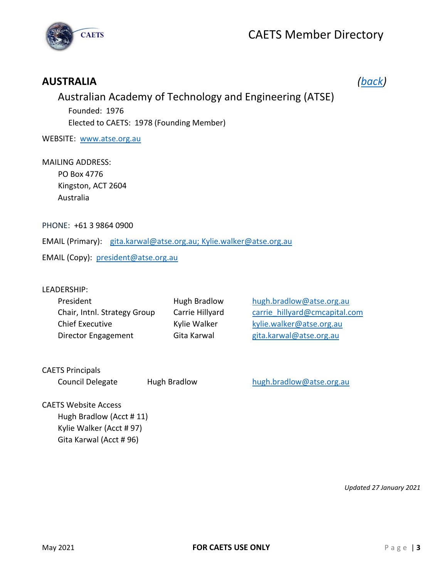

### <span id="page-3-0"></span>**AUSTRALIA** *[\(back\)](#page-1-0)*

### Australian Academy of Technology and Engineering (ATSE) Founded: 1976 Elected to CAETS: 1978 (Founding Member)

WEBSITE: [www.atse.org.au](http://www.atse.org.au/)

#### MAILING ADDRESS:

 PO Box 4776 Kingston, ACT 2604 Australia

PHONE: +61 3 9864 0900

EMAIL (Primary): [gita.karwal@atse.org.au;](mailto:gita.karwal@atse.org.au) Kylie.walker@atse.org.au

EMAIL (Copy): [president@atse.org.au](mailto:president@atse.org.au)

#### LEADERSHIP:

| Hugh Bradlow    | hugh.bradlow@atse.org.au      |
|-----------------|-------------------------------|
| Carrie Hillyard | carrie hillyard@cmcapital.com |
| Kylie Walker    | kylie.walker@atse.org.au      |
| Gita Karwal     | gita.karwal@atse.org.au       |
|                 |                               |

CAETS Principals

Council Delegate Hugh Bradlow [hugh.bradlow@atse.org.au](mailto:hugh.bradlow@atse.org.au)

#### CAETS Website Access Hugh Bradlow (Acct # 11)

Kylie Walker (Acct # 97) Gita Karwal (Acct # 96)

*Updated 27 January 2021*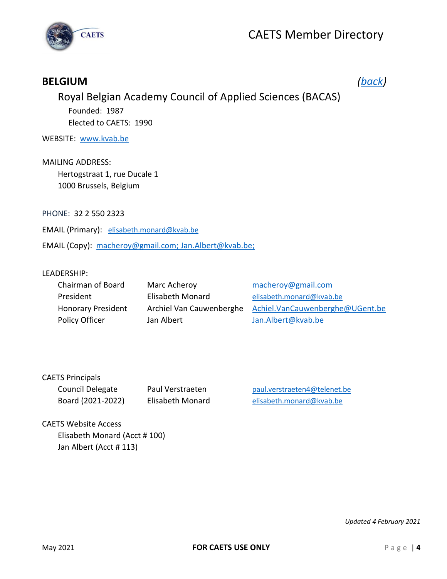

### <span id="page-4-0"></span>**BELGIUM** *[\(back\)](#page-1-0)*

### Royal Belgian Academy Council of Applied Sciences (BACAS) Founded: 1987 Elected to CAETS: 1990

WEBSITE: [www.kvab.be](http://www.kvab.be/)

MAILING ADDRESS: Hertogstraat 1, rue Ducale 1 1000 Brussels, Belgium

PHONE: 32 2 550 2323

EMAIL (Primary): [elisabeth.monard@kvab.be](mailto:elisabeth.monard@kvab.be)

EMAIL (Copy): [macheroy@gmail.com;](mailto:macheroy@gmail.com) Jan.Albert@kvab.be;

#### LEADERSHIP:

| Chairman of Board         | Marc Acheroy             | macheroy@gmail.com              |
|---------------------------|--------------------------|---------------------------------|
| President                 | Elisabeth Monard         | elisabeth.monard@kvab.be        |
| <b>Honorary President</b> | Archiel Van Cauwenberghe | Achiel.VanCauwenberghe@UGent.be |
| Policy Officer            | Jan Albert               | Jan.Albert@kvab.be              |

| <b>CAETS Principals</b> |        |
|-------------------------|--------|
| Council Delegate        | Paul ' |
| Board (2021-2022)       | Elisab |

Verstraeten **Delegate Paul.verstraeten4@telenet.be** beth Monard **Elisabeth Monard Elisabeth** Monard elisabeth.monard @kvab.be

CAETS Website Access Elisabeth Monard (Acct # 100) Jan Albert (Acct # 113)

*Updated 4 February 2021*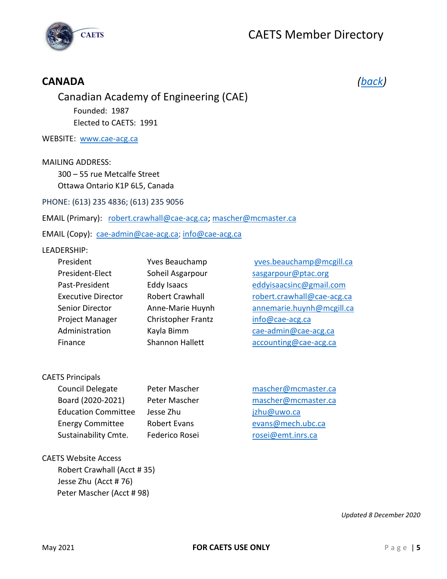



### <span id="page-5-0"></span>**CANADA** *[\(back\)](#page-1-0)*

Canadian Academy of Engineering (CAE) Founded: 1987 Elected to CAETS: 1991

WEBSITE: [www.cae-acg.ca](http://www.cae-acg.ca/)

MAILING ADDRESS:

300 – 55 rue Metcalfe Street Ottawa Ontario K1P 6L5, Canada

PHONE: (613) 235 4836; (613) 235 9056

EMAIL (Primary): [robert.crawhall@cae-acg.ca;](mailto:robert.crawhall@cae-acg.ca) mascher@mcmaster.ca

EMAIL (Copy): [cae-admin@cae-acg.ca;](mailto:cae-admin@cae-acg.ca) [info@cae-acg.ca](mailto:info@cae-acg.ca)

#### LEADERSHIP:

| President                 | Yves Beauchamp         | yves.beauchamp@mcgill.ca   |
|---------------------------|------------------------|----------------------------|
| President-Elect           | Soheil Asgarpour       | sasgarpour@ptac.org        |
| Past-President            | <b>Eddy Isaacs</b>     | eddyisaacsinc@gmail.com    |
| <b>Executive Director</b> | <b>Robert Crawhall</b> | robert.crawhall@cae-acg.ca |
| Senior Director           | Anne-Marie Huynh       | annemarie.huynh@mcgill.ca  |
| Project Manager           | Christopher Frantz     | info@cae-acg.ca            |
| Administration            | Kayla Bimm             | cae-admin@cae-acg.ca       |
| Finance                   | <b>Shannon Hallett</b> | accounting@cae-acg.ca      |

CAETS Principals

| <b>Council Delegate</b>    | Pete         |
|----------------------------|--------------|
| Board (2020-2021)          | Pete         |
| <b>Education Committee</b> | <b>Jesso</b> |
| <b>Energy Committee</b>    | <b>Robo</b>  |
| Sustainability Cmte.       | Fede         |

er Mascher **Mascher** [mascher@mcmaster.ca](mailto:mascher@mcmaster.ca) er Mascher **Edge Eines [mascher@mcmaster.ca](mailto:mascher@mcmaster.ca)** e Zhu dia katio Committee Jesus Committee Jesus Committee Jesus Committee Jesus Committee Jesus Committee Jesus ert Evans **Committee Robert Evans evans @mech.ubc.ca** erico Rosei **Camerico Rosei contra [rosei@emt.inrs.ca](mailto:rosei@emt.inrs.ca)** 

CAETS Website Access Robert Crawhall (Acct # 35) Jesse Zhu (Acct # 76) Peter Mascher (Acct # 98)

*Updated 8 December 2020*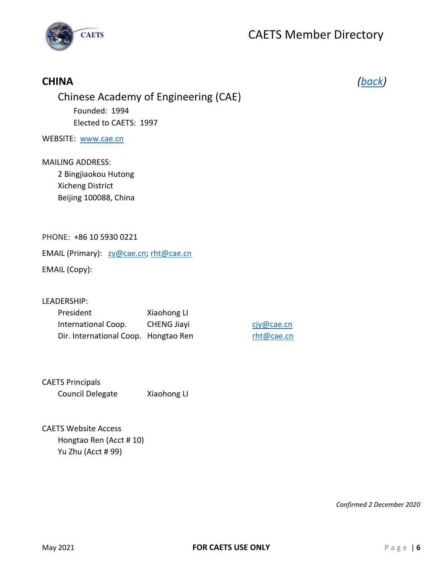

### <span id="page-6-0"></span>**CHINA** *[\(back\)](#page-1-0)*

### Chinese Academy of Engineering (CAE) Founded: 1994 Elected to CAETS: 1997

#### WEBSITE: [www.cae.cn](http://www.cae.cn/)

### MAILING ADDRESS:

2 Bingjiaokou Hutong Xicheng District Beijing 100088, China

#### PHONE: +86 10 5930 0221

EMAIL (Primary): [zy@cae.cn;](mailto:zy@cae.cn) [rht@cae.cn](mailto:rht@cae.cn)

EMAIL (Copy):

#### LEADERSHIP:

| President                            | Xiaohong LI        |
|--------------------------------------|--------------------|
| International Coop.                  | <b>CHENG Jiayi</b> |
| Dir. International Coop. Hongtao Ren |                    |

[cjy@cae.cn](mailto:cjy@cae.cn) [rht@cae.cn](mailto:rht@cae.cn)

#### CAETS Principals Council Delegate Xiaohong LI

CAETS Website Access Hongtao Ren (Acct # 10) Yu Zhu (Acct # 99)

*Confirmed 2 December 2020*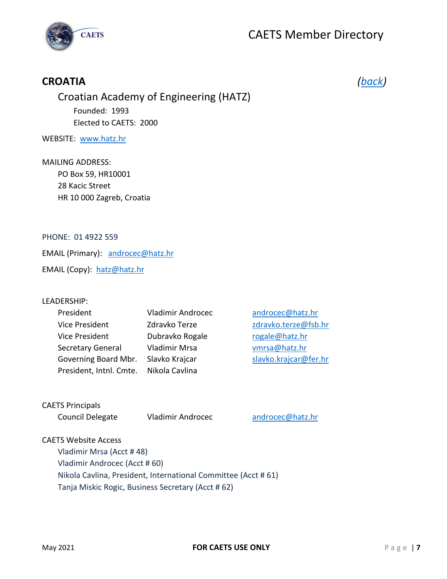



### <span id="page-7-0"></span>**CROATIA** *[\(back\)](#page-1-0)*

### Croatian Academy of Engineering (HATZ) Founded: 1993 Elected to CAETS: 2000

#### WEBSITE: [www.hatz.hr](http://www.hatz.hr/)

### MAILING ADDRESS: PO Box 59, HR10001

28 Kacic Street HR 10 000 Zagreb, Croatia

#### PHONE: 01 4922 559

EMAIL (Primary): [androcec@hatz.hr](mailto:androcec@hatz.hr)

EMAIL (Copy): [hatz@hatz.hr](mailto:hatz@hatz.hr)

#### LEADERSHIP:

| President                | <b>Vladimir Androce</b> |
|--------------------------|-------------------------|
| Vice President           | Zdravko Terze           |
| Vice President           | Dubravko Rogale         |
| <b>Secretary General</b> | Vladimir Mrsa           |
| Governing Board Mbr.     | Slavko Krajcar          |
| President, Intnl. Cmte.  | Nikola Cavlina          |

President Viladimir Androcec@hatz.hr [zdravko.terze@fsb.hr](mailto:zdravko.terze@fsb.hr) [rogale@hatz.hr](mailto:rogale@hatz.hr) [vmrsa@hatz.hr](mailto:vmrsa@hatz.hr) [slavko.krajcar@fer.hr](mailto:slavko.krajcar@fer.hr)

#### CAETS Principals

Council Delegate Vladimir Androcec [androcec@hatz.hr](mailto:androcec@hatz.hr)

#### CAETS Website Access

Vladimir Mrsa (Acct # 48) Vladimir Androcec (Acct # 60) Nikola Cavlina, President, International Committee (Acct # 61) Tanja Miskic Rogic, Business Secretary (Acct # 62)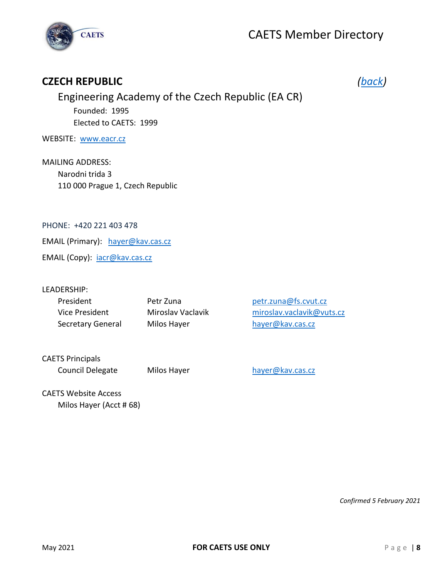

### <span id="page-8-0"></span>**CZECH REPUBLIC** *[\(back\)](#page-1-0)*

### Engineering Academy of the Czech Republic (EA CR) Founded: 1995 Elected to CAETS: 1999

WEBSITE: [www.eacr.cz](http://www.eacr.cz/)

MAILING ADDRESS: Narodni trida 3 110 000 Prague 1, Czech Republic

PHONE: +420 221 403 478

EMAIL (Primary): [hayer@kav.cas.cz](mailto:hayer@kav.cas.cz)

EMAIL (Copy): [iacr@kav.cas.cz](mailto:iacr@kav.cas.cz)

#### LEADERSHIP:

| President         | Petr Zuna         | petr.zuna@fs.cvut.cz      |
|-------------------|-------------------|---------------------------|
| Vice President    | Miroslav Vaclavik | miroslav.vaclavik@vuts.cz |
| Secretary General | Milos Hayer       | hayer@kav.cas.cz          |

CAETS Principals Council Delegate Milos Hayer hayer [hayer@kav.cas.cz](mailto:hayer@kav.cas.cz)

CAETS Website Access Milos Hayer (Acct # 68)

*Confirmed 5 February 2021*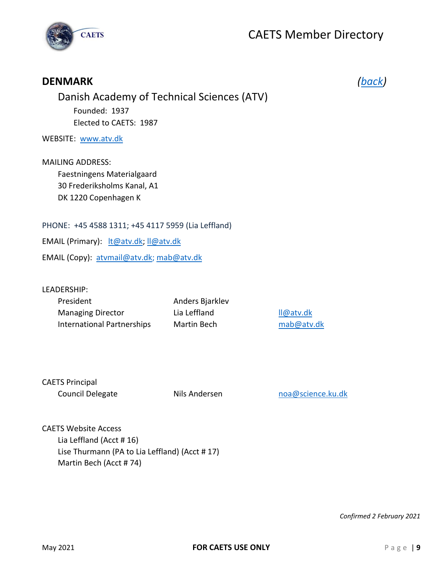

<span id="page-9-0"></span>

| <b>DENMARK</b>                                                                                               |  |
|--------------------------------------------------------------------------------------------------------------|--|
| Danish Academy of Technical Sciences (ATV)                                                                   |  |
| Founded: 1937                                                                                                |  |
| Elected to CAETS: 1987                                                                                       |  |
| WEBSITE: www.atv.dk                                                                                          |  |
| <b>MAILING ADDRESS:</b><br>Faestningens Materialgaard<br>30 Frederiksholms Kanal, A1<br>DK 1220 Copenhagen K |  |
| PHONE: +45 4588 1311; +45 4117 5959 (Lia Leffland)                                                           |  |
| EMAIL (Primary): It@atv.dk; Il@atv.dk                                                                        |  |
| EMAIL (Copy): atvmail@atv.dk; mab@atv.dk                                                                     |  |
|                                                                                                              |  |

LEADERSHIP:

| President                         | Anders Bjarklev |
|-----------------------------------|-----------------|
| <b>Managing Director</b>          | Lia Leffland    |
| <b>International Partnerships</b> | Martin Bech     |

[ll@atv.dk](mailto:ll@atv.dk) [mab@atv.dk](mailto:mab@atv.dk)

| <b>CAETS Principal</b> |  |
|------------------------|--|
| Council Delegate       |  |

Nils Andersen [noa@science.ku.dk](mailto:noa@science.ku.dk)

CAETS Website Access Lia Leffland (Acct # 16) Lise Thurmann (PA to Lia Leffland) (Acct # 17) Martin Bech (Acct # 74)

*Confirmed 2 February 2021*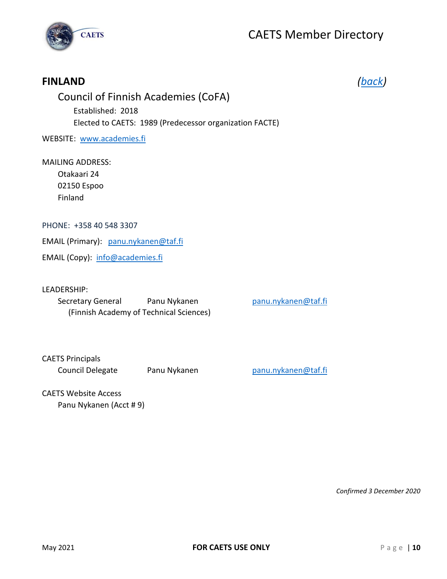

### <span id="page-10-0"></span>**FINLAND** *[\(back\)](#page-1-0)*

### Council of Finnish Academies (CoFA) Established: 2018 Elected to CAETS: 1989 (Predecessor organization FACTE)

WEBSITE: [www.academies.fi](http://www.academies.fi/)

#### MAILING ADDRESS:

Otakaari 24 02150 Espoo Finland

#### PHONE: +358 40 548 3307

EMAIL (Primary): [panu.nykanen@taf.fi](mailto:panu.nykanen@taf.fi)

EMAIL (Copy): [info@academies.fi](mailto:info@academies.fi)

#### LEADERSHIP:

Secretary General Panu Nykanen Panu Panu nykanen panu.nykanen @taf.fi (Finnish Academy of Technical Sciences)

#### CAETS Principals Council Delegate Panu Nykanen Panu Pranu nykanen panu.nykanen @taf.fi

#### CAETS Website Access Panu Nykanen (Acct # 9)

*Confirmed 3 December 2020*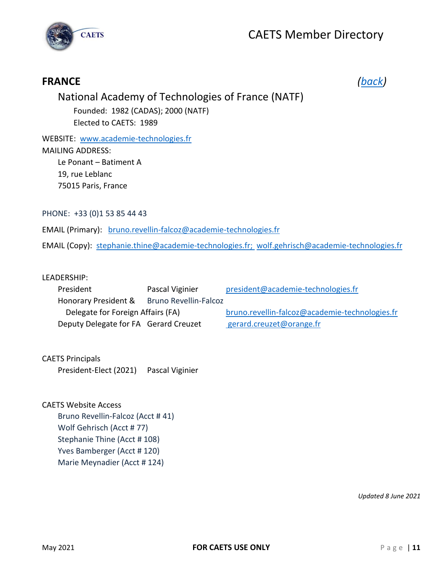



### <span id="page-11-0"></span>**FRANCE** *[\(back\)](#page-1-0)*

### National Academy of Technologies of France (NATF)

Founded: 1982 (CADAS); 2000 (NATF) Elected to CAETS: 1989

WEBSITE: [www.academie-technologies.fr](http://www.academie-technologies.fr/) MAILING ADDRESS: Le Ponant – Batiment A 19, rue Leblanc 75015 Paris, France

PHONE: +33 (0)1 53 85 44 43

EMAIL (Primary): [bruno.revellin-falcoz@academie-technologies.fr](mailto:bruno.revellin-falcoz@academie-technologies.fr)

EMAIL (Copy): [stephanie.thine@academie-technologies.fr;](mailto:stephanie.thine@academie-technologies.fr) [wolf.gehrisch@academie-technologies.fr](mailto:wolf.gehrisch@academie-technologies.fr)

#### LEADERSHIP:

| President                             | Pascal Viginier              | president@academie-technologies.fr             |
|---------------------------------------|------------------------------|------------------------------------------------|
| Honorary President &                  | <b>Bruno Revellin-Falcoz</b> |                                                |
| Delegate for Foreign Affairs (FA)     |                              | bruno.revellin-falcoz@academie-technologies.fr |
| Deputy Delegate for FA Gerard Creuzet |                              | gerard.creuzet@orange.fr                       |

#### CAETS Principals

President-Elect (2021) Pascal Viginier

#### CAETS Website Access

Bruno Revellin-Falcoz (Acct # 41) Wolf Gehrisch (Acct # 77) Stephanie Thine (Acct # 108) Yves Bamberger (Acct # 120) Marie Meynadier (Acct # 124)

*Updated 8 June 2021*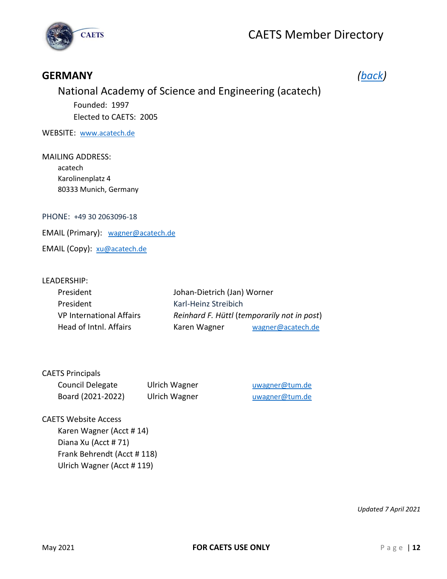

### <span id="page-12-0"></span>**GERMANY** *[\(back\)](#page-1-0)*

### National Academy of Science and Engineering (acatech)

Founded: 1997 Elected to CAETS: 2005

WEBSITE: [www.acatech.de](http://www.acatech.de/)

MAILING ADDRESS: acatech Karolinenplatz 4 80333 Munich, Germany

PHONE: +49 30 2063096-18

EMAIL (Primary): [wagner@acatech.de](mailto:wagner@acatech.de)

EMAIL (Copy): [xu@acatech.de](mailto:xu@acatech.de)

#### LEADERSHIP:

| President                | Johan-Dietrich (Jan) Worner |                                             |
|--------------------------|-----------------------------|---------------------------------------------|
| President                | Karl-Heinz Streibich        |                                             |
| VP International Affairs |                             | Reinhard F. Hüttl (temporarily not in post) |
| Head of Intnl. Affairs   | Karen Wagner                | wagner@acatech.de                           |

#### CAETS Principals

| Council Delegate  | <b>Ulrich Wagner</b> |
|-------------------|----------------------|
| Board (2021-2022) | <b>Ulrich Wagner</b> |

[uwagner@tum.de](mailto:uwagner@tum.de) [uwagner@tum.de](mailto:uwagner@tum.de)

#### CAETS Website Access

Karen Wagner (Acct # 14) Diana Xu (Acct # 71) Frank Behrendt (Acct # 118) Ulrich Wagner (Acct # 119)

*Updated 7 April 2021*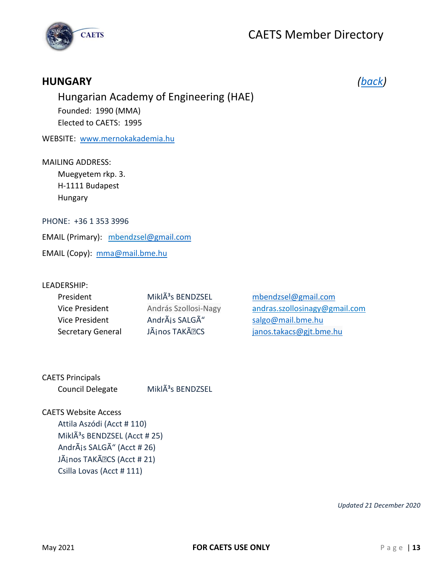



### <span id="page-13-0"></span>**HUNGARY** *[\(back\)](#page-1-0)*

Hungarian Academy of Engineering (HAE) Founded: 1990 (MMA) Elected to CAETS: 1995

WEBSITE: [www.mernokakademia.hu](http://www.mernokakademia.hu/)

#### MAILING ADDRESS:

Muegyetem rkp. 3. H-1111 Budapest Hungary

PHONE: +36 1 353 3996

EMAIL (Primary): [mbendzsel@gmail.com](mailto:mbendzsel@gmail.com)

EMAIL (Copy): [mma@mail.bme.hu](mailto:mma@mail.bme.hu)

#### LEADERSHIP:

| President                | Mikl $\tilde{A}^3$ s BENDZSEL |
|--------------------------|-------------------------------|
| Vice President           | András Szollosi-Nagy          |
| Vice President           | AndrÃis SALGÃ"                |
| <b>Secretary General</b> | JÃjnos TAKÃ <sup>•</sup> CS   |

[mbendzsel@gmail.com](mailto:mbendzsel@gmail.com) [andras.szollosinagy@gmail.com](mailto:andras.szollosinagy@gmail.com) [salgo@mail.bme.hu](mailto:salgo@mail.bme.hu) [janos.takacs@gjt.bme.hu](mailto:janos.takacs@gjt.bme.hu)

CAETS Principals Council Delegate MiklÃ<sup>3</sup>s BENDZSEL

CAETS Website Access Attila Aszódi (Acct # 110) Mikl $\tilde{A}^3$ s BENDZSEL (Acct # 25) AndrÃis SALGÃ" (Acct # 26) JÃjnos TAKÃ<sup>•</sup> CS (Acct # 21) Csilla Lovas (Acct # 111)

*Updated 21 December 2020*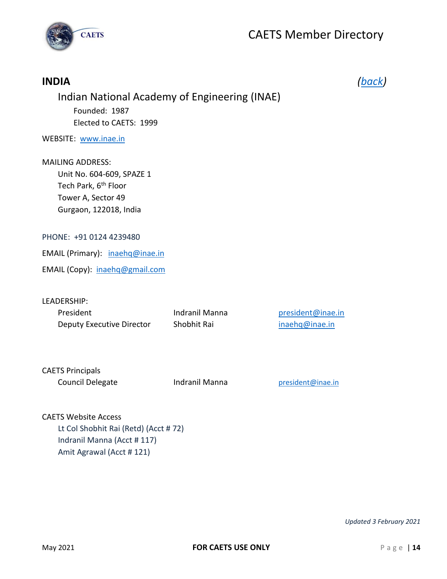

## <span id="page-14-0"></span>**INDIA** *[\(back\)](#page-1-0)* Indian National Academy of Engineering (INAE) Founded: 1987 Elected to CAETS: 1999 WEBSITE: [www.inae.in](http://www.inae.in/) MAILING ADDRESS: Unit No. 604-609, SPAZE 1 Tech Park, 6<sup>th</sup> Floor Tower A, Sector 49 Gurgaon, 122018, India PHONE: +91 0124 4239480 EMAIL (Primary): [inaehq@inae.in](mailto:inaehq@inae.in) EMAIL (Copy): [inaehq@gmail.com](mailto:inaehq@gmail.com) LEADERSHIP: President Indranil Manna [president@inae.in](mailto:president@inae.in) Deputy Executive Director Shobhit Rai [inaehq@inae.in](mailto:inaehq@inae.in) CAETS Principals Council Delegate Indranil Manna [president@inae.in](mailto:president@inae.in)

CAETS Website Access Lt Col Shobhit Rai (Retd) (Acct # 72) Indranil Manna (Acct # 117) Amit Agrawal (Acct # 121)

*Updated 3 February 2021*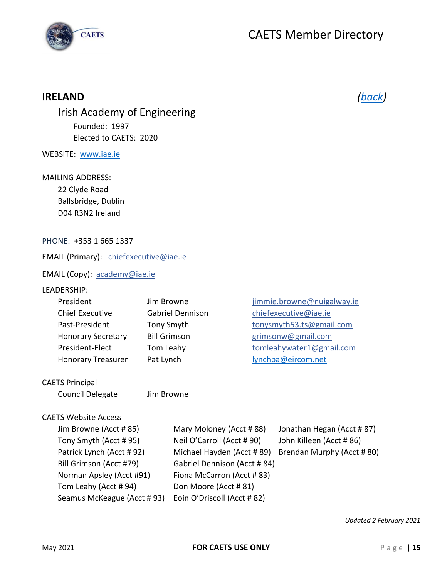

### <span id="page-15-0"></span>**IRELAND** *[\(back\)](#page-1-0)*

Irish Academy of Engineering Founded: 1997 Elected to CAETS: 2020

WEBSITE: [www.iae.ie](http://www.iae.ie/)

#### MAILING ADDRESS:

22 Clyde Road Ballsbridge, Dublin D04 R3N2 Ireland

#### PHONE: +353 1 665 1337

EMAIL (Primary): [chiefexecutive@iae.ie](mailto:chiefexecutive@iae.ie)

EMAIL (Copy): [academy@iae.ie](mailto:academy@iae.ie)

#### LEADERSHIP:

| President                 | Jim Browne          | jimmie.browne@nuigalway.ie |
|---------------------------|---------------------|----------------------------|
| <b>Chief Executive</b>    | Gabriel Dennison    | chiefexecutive@iae.ie      |
| Past-President            | Tony Smyth          | tonysmyth53.ts@gmail.com   |
| <b>Honorary Secretary</b> | <b>Bill Grimson</b> | grimsonw@gmail.com         |
| President-Elect           | Tom Leahy           | tomleahywater1@gmail.com   |
| <b>Honorary Treasurer</b> | Pat Lynch           | lynchpa@eircom.net         |
|                           |                     |                            |

#### CAETS Principal

Council Delegate Jim Browne

#### CAETS Website Access

| Jim Browne (Acct #85)      | Mary Moloney (Acct #88)      | Jonathan Hegan (Acct #87) |
|----------------------------|------------------------------|---------------------------|
| Tony Smyth (Acct #95)      | Neil O'Carroll (Acct #90)    | John Killeen (Acct # 86)  |
| Patrick Lynch (Acct #92)   | Michael Hayden (Acct #89)    | Brendan Murphy (Acct #80) |
| Bill Grimson (Acct #79)    | Gabriel Dennison (Acct # 84) |                           |
| Norman Apsley (Acct #91)   | Fiona McCarron (Acct #83)    |                           |
| Tom Leahy (Acct #94)       | Don Moore (Acct #81)         |                           |
| Seamus McKeague (Acct #93) | Eoin O'Driscoll (Acct #82)   |                           |

*Updated 2 February 2021*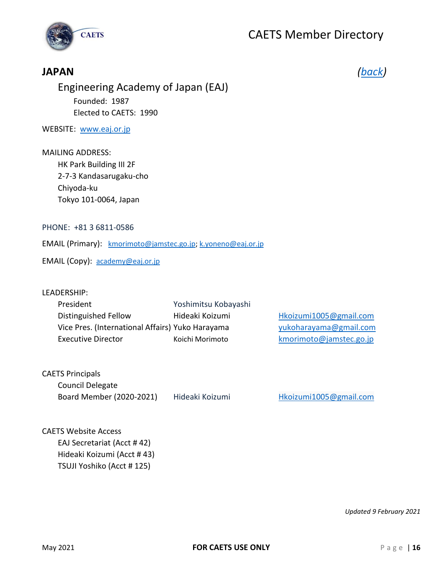

### <span id="page-16-0"></span>**JAPAN** *[\(back\)](#page-1-0)*

Engineering Academy of Japan (EAJ) Founded: 1987 Elected to CAETS: 1990

WEBSITE: [www.eaj.or.jp](http://www.eaj.or.jp/)

#### MAILING ADDRESS:

HK Park Building III 2F 2-7-3 Kandasarugaku-cho Chiyoda-ku Tokyo 101-0064, Japan

PHONE: +81 3 6811-0586

EMAIL (Primary): [kmorimoto@jamstec.go.jp;](mailto:kmorimoto@jamstec.go.jp) [k.yoneno@eaj.or.jp](mailto:k.yoneno@eaj.or.jp)

EMAIL (Copy): [academy@eaj.or.jp](mailto:academy@eaj.or.jp)

#### LEADERSHIP:

| President                                        | Yoshimitsu Kobayashi |                         |
|--------------------------------------------------|----------------------|-------------------------|
| Distinguished Fellow                             | Hideaki Koizumi      | Hkoizumi1005@gmail.com  |
| Vice Pres. (International Affairs) Yuko Harayama |                      | yukoharayama@gmail.com  |
| Executive Director                               | Koichi Morimoto      | kmorimoto@jamstec.go.jp |

CAETS Principals Council Delegate Board Member (2020-2021) Hideaki Koizumi [Hkoizumi1005@gmail.com](mailto:Hkoizumi1005@gmail.com)

CAETS Website Access EAJ Secretariat (Acct # 42) Hideaki Koizumi (Acct # 43) TSUJI Yoshiko (Acct # 125)

*Updated 9 February 2021*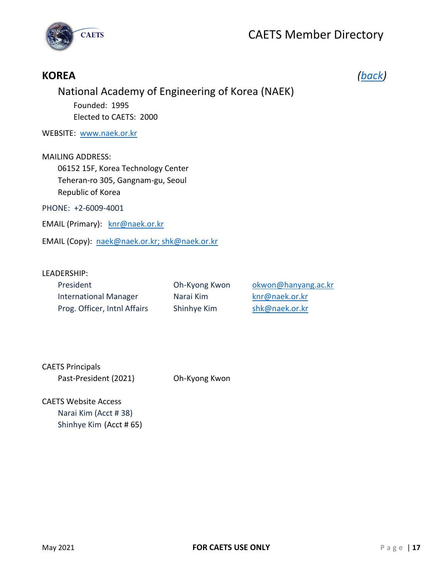

### <span id="page-17-0"></span>**KOREA** *[\(back\)](#page-1-0)*

### National Academy of Engineering of Korea (NAEK)

Founded: 1995 Elected to CAETS: 2000

WEBSITE: [www.naek.or.kr](http://www.naek.or.kr/)

#### MAILING ADDRESS:

06152 15F, Korea Technology Center Teheran-ro 305, Gangnam-gu, Seoul Republic of Korea

PHONE: +2-6009-4001

EMAIL (Primary): [knr@naek.or.kr](mailto:knr@naek.or.kr)

EMAIL (Copy): [naek@naek.or.kr;](mailto:naek@naek.or.kr) shk@naek.or.kr

#### LEADERSHIP:

| President                    | Oh-Kyong Kwon | okwon@hanyang.ac.kr |
|------------------------------|---------------|---------------------|
| <b>International Manager</b> | Narai Kim     | knr@naek.or.kr      |
| Prog. Officer, Inthl Affairs | Shinhye Kim   | shk@naek.or.kr      |

CAETS Principals

Past-President (2021) Oh-Kyong Kwon

CAETS Website Access Narai Kim (Acct # 38) Shinhye Kim (Acct # 65)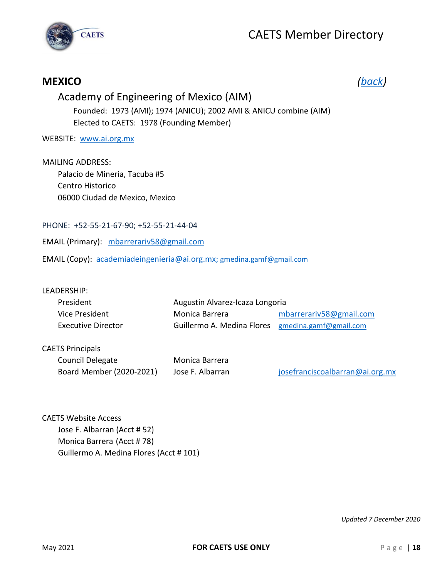



### <span id="page-18-0"></span>**MEXICO** *[\(back\)](#page-1-0)*

### Academy of Engineering of Mexico (AIM)

Founded: 1973 (AMI); 1974 (ANICU); 2002 AMI & ANICU combine (AIM) Elected to CAETS: 1978 (Founding Member)

WEBSITE: [www.ai.org.mx](http://www.ai.org.mx/)

MAILING ADDRESS: Palacio de Mineria, Tacuba #5 Centro Historico 06000 Ciudad de Mexico, Mexico

PHONE: +52-55-21-67-90; +52-55-21-44-04

EMAIL (Primary): mbarrerariv58@gmail.com

EMAIL (Copy): [academiadeingenieria@ai.org.mx;](mailto:academiadeingenieria@ai.org.mx) [gmedina.gamf@gmail.com](mailto:gmedina.gamf@gmail.com)

#### LEADERSHIP:

| President                 | Augustin Alvarez-Icaza Longoria                   |                         |
|---------------------------|---------------------------------------------------|-------------------------|
| Vice President            | Monica Barrera                                    | mbarrerariv58@gmail.com |
| <b>Executive Director</b> | Guillermo A. Medina Flores gmedina.gamf@gmail.com |                         |

#### CAETS Principals

Council Delegate Monica Barrera Board Member (2020-2021) Jose F. Albarran [josefranciscoalbarran@ai.org.mx](mailto:josefranciscoalbarran@ai.org.mx)

CAETS Website Access Jose F. Albarran (Acct # 52) Monica Barrera (Acct # 78) Guillermo A. Medina Flores (Acct # 101)

*Updated 7 December 2020*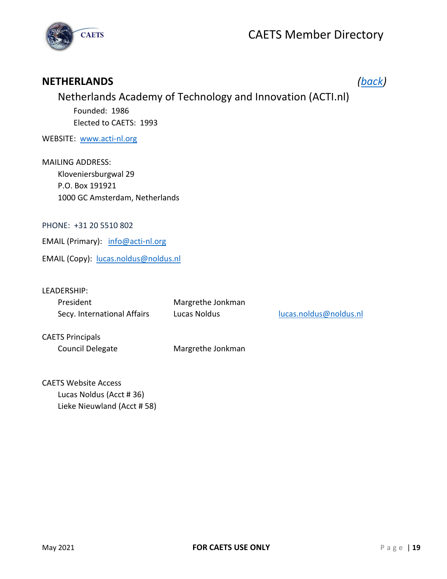

### <span id="page-19-0"></span>**NETHERLANDS** *[\(back\)](#page-1-0)*

### Netherlands Academy of Technology and Innovation (ACTI.nl) Founded: 1986 Elected to CAETS: 1993

#### WEBSITE: [www.acti-nl.org](http://www.acti-nl.org/)

MAILING ADDRESS: Kloveniersburgwal 29 P.O. Box 191921 1000 GC Amsterdam, Netherlands

#### PHONE: +31 20 5510 802

EMAIL (Primary): [info@acti-nl.org](mailto:info@acti-nl.org)

EMAIL (Copy): [lucas.noldus@noldus.nl](mailto:lucas.noldus@noldus.nl)

LEADERSHIP:

| President                   | Margrethe Jonkman |                        |
|-----------------------------|-------------------|------------------------|
| Secy. International Affairs | Lucas Noldus      | lucas.noldus@noldus.nl |

CAETS Principals

Council Delegate Margrethe Jonkman

CAETS Website Access Lucas Noldus (Acct # 36) Lieke Nieuwland (Acct # 58)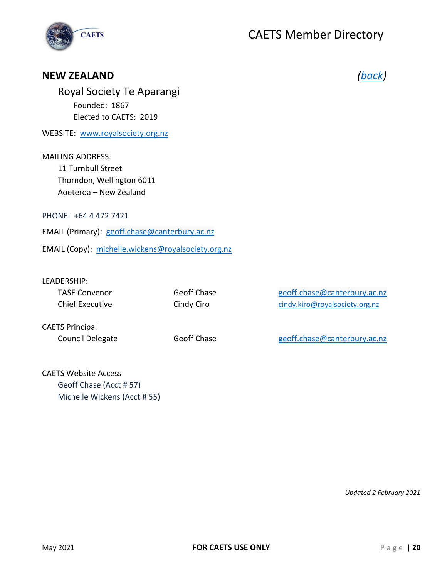

#### <span id="page-20-0"></span>**NEW ZEALAND** *[\(back\)](#page-1-0)*

Royal Society Te Aparangi Founded: 1867 Elected to CAETS: 2019

WEBSITE: [www.royalsociety.org.nz](http://www.royalsociety.org.nz/)

MAILING ADDRESS: 11 Turnbull Street Thorndon, Wellington 6011 Aoeteroa – New Zealand

PHONE: +64 4 472 7421

EMAIL (Primary): [geoff.chase@canterbury.ac.nz](mailto:geoff.chase@canterbury.ac.nz)

EMAIL (Copy): [michelle.wickens@royalsociety.org.nz](mailto:michelle.wickens@royalsociety.org.nz)

#### LEADERSHIP:

| TASE Convenor   | Geoff Chase | geoff.chase@canterbury.ac.nz   |
|-----------------|-------------|--------------------------------|
| Chief Executive | Cindy Ciro  | cindy.kiro@royalsociety.org.nz |

CAETS Principal

Council Delegate Geoff Chase Geoff Chase [geoff.chase@canterbury.ac.nz](mailto:geoff.chase@canterbury.ac.nz)

CAETS Website Access Geoff Chase (Acct # 57) Michelle Wickens (Acct # 55)

*Updated 2 February 2021*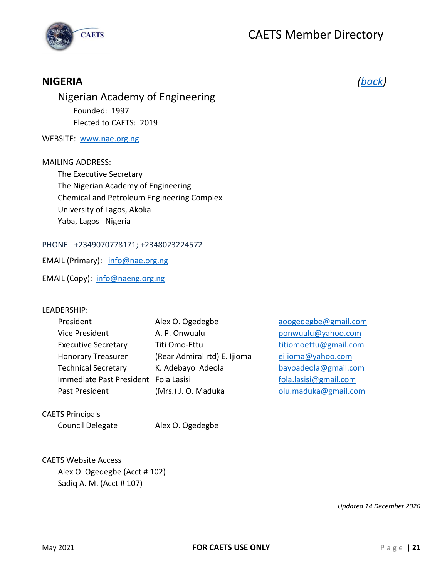



### <span id="page-21-0"></span>**NIGERIA** *[\(back\)](#page-1-0)*

Nigerian Academy of Engineering Founded: 1997 Elected to CAETS: 2019

#### WEBSITE: [www.nae.org.ng](http://www.nae.org.ng/)

#### MAILING ADDRESS:

The Executive Secretary The Nigerian Academy of Engineering Chemical and Petroleum Engineering Complex University of Lagos, Akoka Yaba, Lagos Nigeria

PHONE: +2349070778171; +2348023224572

EMAIL (Primary): [info@nae.org.ng](mailto:info@nae.org.ng)

EMAIL (Copy): [info@naeng.org.ng](mailto:info@naeng.org.ng)

#### LEADERSHIP:

[aoogedegbe@gmail.com](mailto:aoogedegbe@gmail.com) [ponwualu@yahoo.com](mailto:ponwualu@yahoo.com) [titiomoettu@gmail.com](mailto:titiomoettu@gmail.com) [eijioma@yahoo.com](mailto:eijioma@yahoo.com) [bayoadeola@gmail.com](mailto:bayoadeola@gmail.com) [fola.lasisi@gmail.com](mailto:fola.lasisi@gmail.com) [olu.maduka@gmail.com](mailto:olu.maduka@gmail.com)

CAETS Principals

Council Delegate Alex O. Ogedegbe

CAETS Website Access Alex O. Ogedegbe (Acct # 102) Sadiq A. M. (Acct # 107)

*Updated 14 December 2020*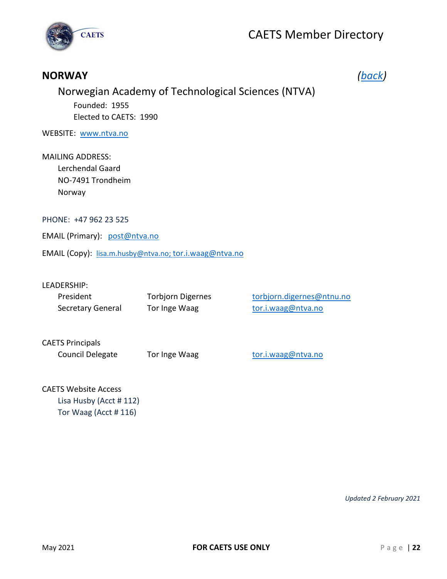

### <span id="page-22-0"></span>**NORWAY** *[\(back\)](#page-1-0)*

Norwegian Academy of Technological Sciences (NTVA) Founded: 1955 Elected to CAETS: 1990

WEBSITE: [www.ntva.no](http://www.ntva.no/)

MAILING ADDRESS: Lerchendal Gaard NO-7491 Trondheim Norway

PHONE: +47 962 23 525

EMAIL (Primary): [post@ntva.no](mailto:post@ntva.no)

EMAIL (Copy): [lisa.m.husby@ntva.no;](mailto:lisa.m.husby@ntva.no) [tor.i.waag@ntva.no](mailto:tor.i.waag@ntva.no)

#### LEADERSHIP:

| President         | Torbjorn Digernes | torbjorn.digernes@ntnu.no |
|-------------------|-------------------|---------------------------|
| Secretary General | Tor Inge Waag     | tor.i.waag@ntva.no        |

CAETS Principals

Council Delegate Tor Inge Waag [tor.i.waag@ntva.no](mailto:tor.i.waag@ntva.no)

#### CAETS Website Access

Lisa Husby (Acct # 112) Tor Waag (Acct # 116)

*Updated 2 February 2021*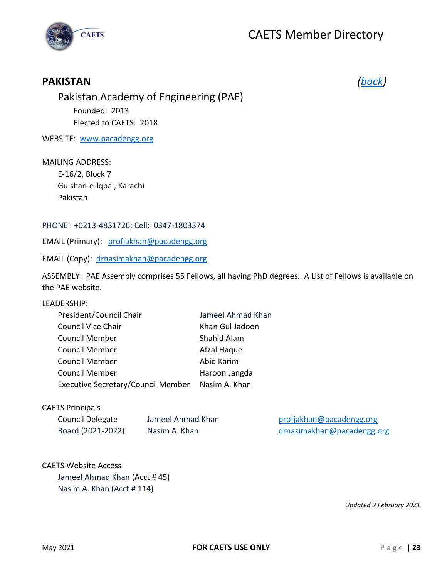



### <span id="page-23-0"></span>**PAKISTAN** *[\(back\)](#page-1-0)*

Pakistan Academy of Engineering (PAE) Founded: 2013 Elected to CAETS: 2018

WEBSITE: [www.pacadengg.org](http://www.pacadengg.org/)

#### MAILING ADDRESS:

E-16/2, Block 7 Gulshan-e-lqbal, Karachi Pakistan

#### PHONE: +0213-4831726; Cell: 0347-1803374

EMAIL (Primary): [profjakhan@pacadengg.org](mailto:profjakhan@pacadengg.org)

EMAIL (Copy): [drnasimakhan@pacadengg.org](mailto:drnasimakhan@pacadengg.org)

ASSEMBLY: PAE Assembly comprises 55 Fellows, all having PhD degrees. A List of Fellows is available on the PAE website.

#### LEADERSHIP:

| President/Council Chair                   | Jameel Ahmad Khan |
|-------------------------------------------|-------------------|
| <b>Council Vice Chair</b>                 | Khan Gul Jadoon   |
| <b>Council Member</b>                     | Shahid Alam       |
| <b>Council Member</b>                     | Afzal Haque       |
| <b>Council Member</b>                     | Abid Karim        |
| <b>Council Member</b>                     | Haroon Jangda     |
| <b>Executive Secretary/Council Member</b> | Nasim A. Khan     |
|                                           |                   |

#### CAETS Principals

| Council Delegate  |  |
|-------------------|--|
| Board (2021-2022) |  |

Jameel Ahmad Khan [profjakhan@pacadengg.org](mailto:profjakhan@pacadengg.org) Nasim A. Khan [drnasimakhan@pacadengg.org](mailto:drnasimakhan@pacadengg.org)

#### CAETS Website Access

Jameel Ahmad Khan (Acct # 45) Nasim A. Khan (Acct # 114)

*Updated 2 February 2021*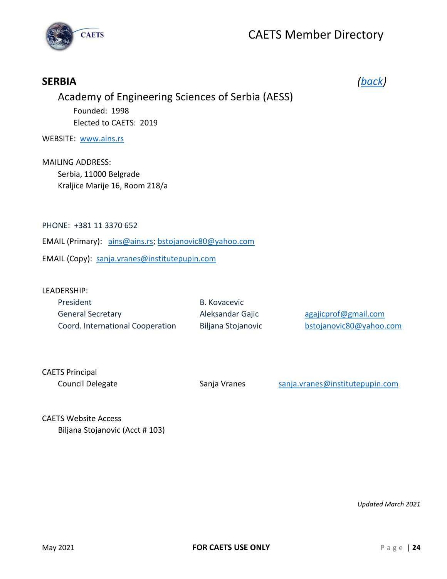

## Academy of Engineering Sciences of Serbia (AESS) Founded: 1998 Elected to CAETS: 2019 WEBSITE: [www.ains.rs](http://www.ains.rs/) MAILING ADDRESS: Serbia, 11000 Belgrade Kraljice Marije 16, Room 218/a PHONE: +381 11 3370 652 EMAIL (Primary): [ains@ains.rs;](mailto:ains@ains.rs) [bstojanovic80@yahoo.com](mailto:bstojanovic80@yahoo.com)

<span id="page-24-0"></span>**SERBIA** *[\(back\)](#page-1-0)*

EMAIL (Copy): [sanja.vranes@institutepupin.com](mailto:sanja.vranes@institutepupin.com)

#### LEADERSHIP:

| President                        | B. Kovacevic       |                         |
|----------------------------------|--------------------|-------------------------|
| <b>General Secretary</b>         | Aleksandar Gajic   | agajicprof@gmail.com    |
| Coord. International Cooperation | Biljana Stojanovic | bstojanovic80@yahoo.com |

CAETS Principal

Council Delegate Sanja Vranes [sanja.vranes@institutepupin.com](mailto:sanja.vranes@institutepupin.com)

CAETS Website Access Biljana Stojanovic (Acct # 103)

*Updated March 2021*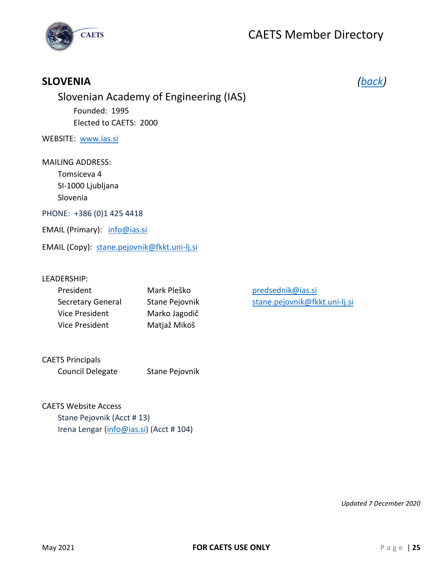

### <span id="page-25-0"></span>**SLOVENIA** *[\(back\)](#page-1-0)*

### Slovenian Academy of Engineering (IAS) Founded: 1995 Elected to CAETS: 2000

WEBSITE: [www.ias.si](http://www.ias.si/)

MAILING ADDRESS: Tomsiceva 4 SI-1000 Ljubljana Slovenia PHONE: +386 (0)1 425 4418

EMAIL (Primary): [info@ias.si](mailto:info@ias.si)

EMAIL (Copy): [stane.pejovnik@fkkt.uni-lj.si](mailto:stane.pejovnik@fkkt.uni-lj.si)

#### LEADERSHIP:

| President                | Mark Pleško           |
|--------------------------|-----------------------|
| <b>Secretary General</b> | <b>Stane Pejovnik</b> |
| Vice President           | Marko Jagodič         |
| Vice President           | Matjaž Mikoš          |

[predsednik@ias.si](mailto:predsednik@ias.si) [stane.pejovnik@fkkt.uni-lj.si](mailto:stane.pejovnik@fkkt.uni-lj.si)

CAETS Principals Council Delegate Stane Pejovnik

CAETS Website Access Stane Pejovnik (Acct # 13) Irena Lengar [\(info@ias.si\)](mailto:info@ias.si) (Acct # 104)

*Updated 7 December 2020*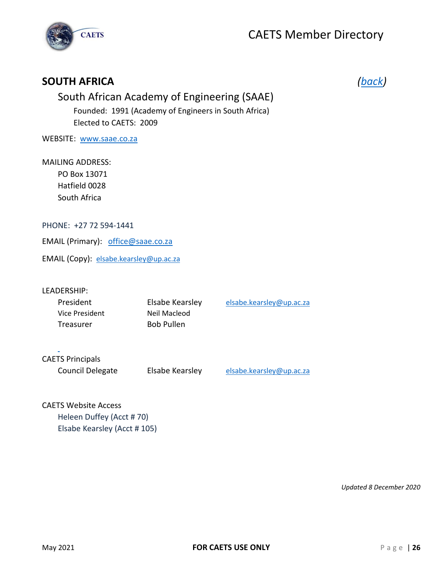

### <span id="page-26-0"></span>**SOUTH AFRICA** *[\(back\)](#page-1-0)*

### South African Academy of Engineering (SAAE) Founded: 1991 (Academy of Engineers in South Africa) Elected to CAETS: 2009

WEBSITE: [www.saae.co.za](http://www.saae.co.za/)

#### MAILING ADDRESS:

PO Box 13071 Hatfield 0028 South Africa

#### PHONE: +27 72 594-1441

EMAIL (Primary): [office@saae.co.za](mailto:office@saae.co.za)

EMAIL (Copy): [elsabe.kearsley@up.ac.za](mailto:elsabe.kearsley@up.ac.za)

#### LEADERSHIP:

| President      | Elsabe Kearsley   | elsabe.kearsley@up.ac.za |
|----------------|-------------------|--------------------------|
| Vice President | Neil Macleod      |                          |
| Treasurer      | <b>Bob Pullen</b> |                          |

#### CAETS Principals

Council Delegate Elsabe Kearsley [elsabe.kearsley@up.ac.za](mailto:elsabe.kearsley@up.ac.za)

#### CAETS Website Access Heleen Duffey (Acct # 70)

Elsabe Kearsley (Acct # 105)

*Updated 8 December 2020*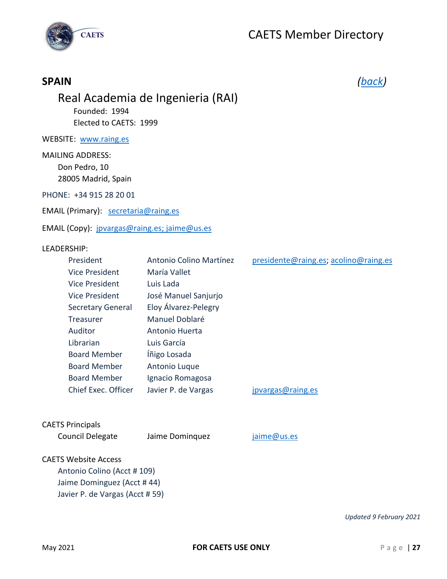

### <span id="page-27-0"></span>**SPAIN** *[\(back\)](#page-1-0)*

### Real Academia de Ingenieria (RAI)

Founded: 1994 Elected to CAETS: 1999

WEBSITE: [www.raing.es](http://www.raing.es/)

MAILING ADDRESS: Don Pedro, 10 28005 Madrid, Spain

PHONE: +34 915 28 20 01

EMAIL (Primary): [secretaria@raing.es](mailto:secretaria@raing.es)

EMAIL (Copy): [jpvargas@raing.es;](mailto:jpvargas@raing.es) jaime@us.es

#### LEADERSHIP:

| President                | Antonio Colino Martínez | presidente@raing.es; acolino@raing.es |
|--------------------------|-------------------------|---------------------------------------|
| <b>Vice President</b>    | María Vallet            |                                       |
| <b>Vice President</b>    | Luis Lada               |                                       |
| <b>Vice President</b>    | José Manuel Sanjurjo    |                                       |
| <b>Secretary General</b> | Eloy Álvarez-Pelegry    |                                       |
| Treasurer                | Manuel Doblaré          |                                       |
| Auditor                  | Antonio Huerta          |                                       |
| Librarian                | Luis García             |                                       |
| <b>Board Member</b>      | Íñigo Losada            |                                       |
| <b>Board Member</b>      | Antonio Luque           |                                       |
| <b>Board Member</b>      | Ignacio Romagosa        |                                       |
| Chief Exec. Officer      | Javier P. de Vargas     | jpvargas@raing.es                     |

#### CAETS Principals

Council Delegate Jaime Dominquez [jaime@us.es](mailto:jaime@us.es)

#### CAETS Website Access

Antonio Colino (Acct # 109) Jaime Dominguez (Acct # 44) Javier P. de Vargas (Acct # 59)

*Updated 9 February 2021*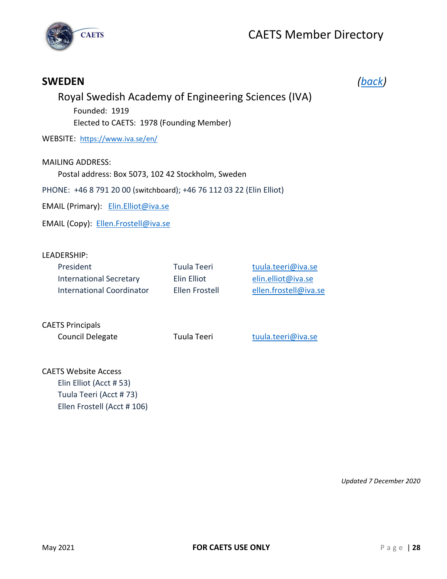

## <span id="page-28-0"></span>**SWEDEN** *[\(back\)](#page-1-0)*

### Royal Swedish Academy of Engineering Sciences (IVA)

Founded: 1919 Elected to CAETS: 1978 (Founding Member)

WEBSITE: <https://www.iva.se/en/>

#### MAILING ADDRESS: Postal address: Box 5073, 102 42 Stockholm, Sweden

PHONE: +46 8 791 20 00 ([switchboard](https://sv.bab.la/lexikon/engelsk-svensk/switchboard)); +46 76 112 03 22 (Elin Elliot)

EMAIL (Primary): Elin.Elliot@iva.se

EMAIL (Copy): [Ellen.Frostell@iva.se](mailto:Ellen.Frostell@iva.se)

#### LEADERSHIP:

| President<br><b>International Secretary</b><br>International Coordinator | Tuula Teeri<br>Elin Elliot<br>Ellen Frostell | tuula.teeri@iva.se<br>elin.elliot@iva.se<br>ellen.frostell@iva.se |
|--------------------------------------------------------------------------|----------------------------------------------|-------------------------------------------------------------------|
| <b>CAETS Principals</b><br><b>Council Delegate</b>                       | Tuula Teeri                                  | tuula.teeri@iva.se                                                |
| CAETS Wohsita Assass                                                     |                                              |                                                                   |

CAETS Website Access Elin Elliot (Acct # 53) Tuula Teeri (Acct # 73) Ellen Frostell (Acct # 106)

*Updated 7 December 2020*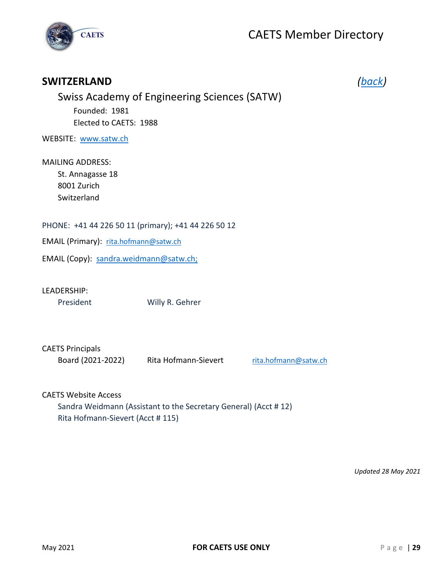

#### <span id="page-29-0"></span>**SWITZERLAND** *[\(back\)](#page-1-0)*

| Swiss Academy of Engineering Sciences (SATW) |
|----------------------------------------------|
| Founded: 1981                                |
| Elected to CAETS: 1988                       |

WEBSITE: [www.satw.ch](http://www.satw.ch/)

MAILING ADDRESS: St. Annagasse 18 8001 Zurich Switzerland

PHONE: +41 44 226 50 11 (primary); +41 44 226 50 12

EMAIL (Primary): [rita.hofmann@satw.ch](mailto:rita.hofmann@satw.ch)

EMAIL (Copy): [sandra.weidmann@satw.ch;](mailto:sandra.weidmann@satw.ch)

LEADERSHIP:

President Willy R. Gehrer

CAETS Principals

Board (2021-2022) Rita Hofmann-Sievert [rita.hofmann@satw.ch](mailto:rita.hofmann@satw.ch)

CAETS Website Access

Sandra Weidmann (Assistant to the Secretary General) (Acct # 12) Rita Hofmann-Sievert (Acct # 115)

*Updated 28 May 2021*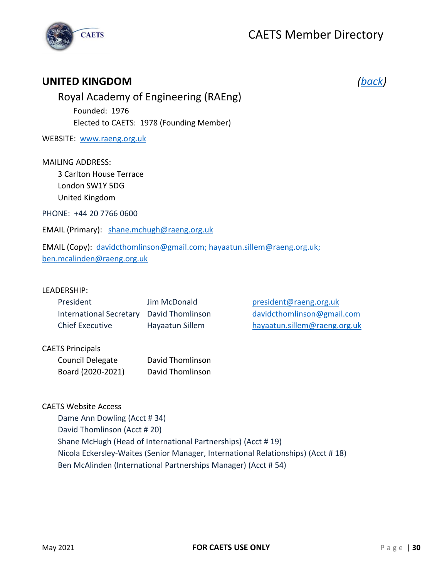

#### <span id="page-30-0"></span>**UNITED KINGDOM** *[\(back\)](#page-1-0)*

Royal Academy of Engineering (RAEng) Founded: 1976 Elected to CAETS: 1978 (Founding Member)

WEBSITE: [www.raeng.org.uk](http://www.raeng.org.uk/)

MAILING ADDRESS:

3 Carlton House Terrace London SW1Y 5DG United Kingdom

PHONE: +44 20 7766 0600

EMAIL (Primary): [shane.m](mailto:shane.)chugh@raeng.org.uk

EMAIL (Copy): [davidcthomlinson@gmail.com;](mailto:davidcthomlinson@gmail.com) [hayaatun.sillem@raeng.org.uk;](mailto:hayaatun.sillem@raeng.org.uk) ben.mcalinden@raeng.org.uk

#### LEADERSHIP:

| President                                | Jim McDonald    |
|------------------------------------------|-----------------|
| International Secretary David Thomlinson |                 |
| <b>Chief Executive</b>                   | Hayaatun Sillem |

[president@raeng.org.uk](mailto:president@raeng.org.uk) david cthomlinson@gmail.com [hayaatun.sillem@raeng.org.uk](mailto:hayaatun.sillem@raeng.org.uk)

#### CAETS Principals

| Council Delegate  | David Thomlinson |
|-------------------|------------------|
| Board (2020-2021) | David Thomlinson |

CAETS Website Access

Dame Ann Dowling (Acct # 34) David Thomlinson (Acct # 20) Shane McHugh (Head of International Partnerships) (Acct # 19) Nicola Eckersley-Waites (Senior Manager, International Relationships) (Acct # 18) Ben McAlinden (International Partnerships Manager) (Acct # 54)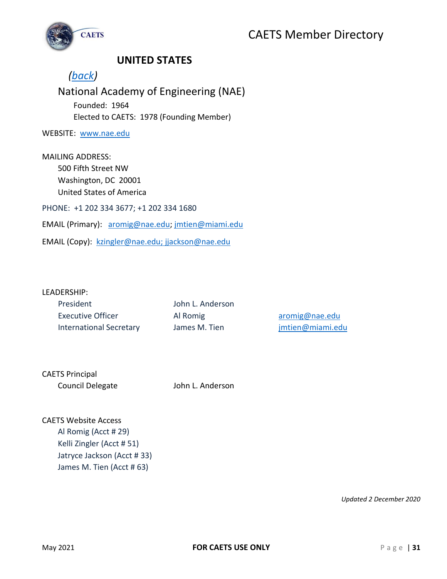

### <span id="page-31-0"></span>**UNITED STATES**

### *[\(back\)](#page-1-0)*

### National Academy of Engineering (NAE) Founded: 1964 Elected to CAETS: 1978 (Founding Member)

WEBSITE: [www.nae.edu](http://www.nae.edu/)

MAILING ADDRESS: 500 Fifth Street NW Washington, DC 20001 United States of America PHONE: +1 202 334 3677; +1 202 334 1680 EMAIL (Primary): [aromig@nae.edu;](mailto:aromig@nae.edu) [jmtien@miami.edu](mailto:jmtien@miami.edu)

EMAIL (Copy): [kzingler@nae.edu;](mailto:kzingler@nae.edu) [jjackson@nae.edu](mailto:jjackson@nae.edu)

#### LEADERSHIP:

| President                      |
|--------------------------------|
| Executive Officer              |
| <b>International Secretary</b> |

John L. Anderson

Al Romig [aromig@nae.edu](mailto:aromig@nae.edu) James M. Tien imtien@miami.edu

CAETS Principal Council Delegate John L. Anderson

CAETS Website Access Al Romig (Acct # 29) Kelli Zingler (Acct # 51) Jatryce Jackson (Acct # 33) James M. Tien (Acct # 63)

*Updated 2 December 2020*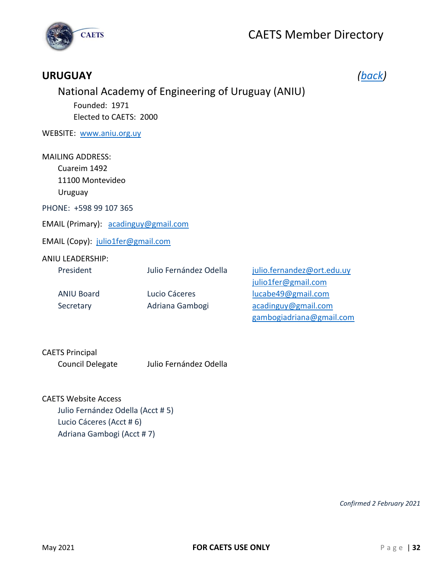

### <span id="page-32-0"></span>**URUGUAY** *[\(back\)](#page-1-0)*

## National Academy of Engineering of Uruguay (ANIU)

Founded: 1971 Elected to CAETS: 2000

WEBSITE: [www.aniu.org.uy](http://www.aniu.org.uy/)

#### MAILING ADDRESS:

Cuareim 1492 11100 Montevideo

Uruguay

PHONE: +598 99 107 365

EMAIL (Primary): [acadinguy@gmail.com](mailto:acadinguy@gmail.com)

EMAIL (Copy): [julio1fer@gmail.com](mailto:julio1fer@gmail.com)

#### ANIU LEADERSHIP:

| President         | Julio Fernández Odella | julio.fernandez@ort.edu.uy |
|-------------------|------------------------|----------------------------|
|                   |                        | julio1fer@gmail.com        |
| <b>ANIU Board</b> | Lucio Cáceres          | lucabe49@gmail.com         |
| Secretary         | Adriana Gambogi        | acadinguy@gmail.com        |
|                   |                        | gambogiadriana@gmail.com   |

## CAETS Principal

Council Delegate Julio Fernández Odella

#### CAETS Website Access

Julio Fernández Odella (Acct # 5) Lucio Cáceres (Acct # 6) Adriana Gambogi (Acct # 7)

*Confirmed 2 February 2021*